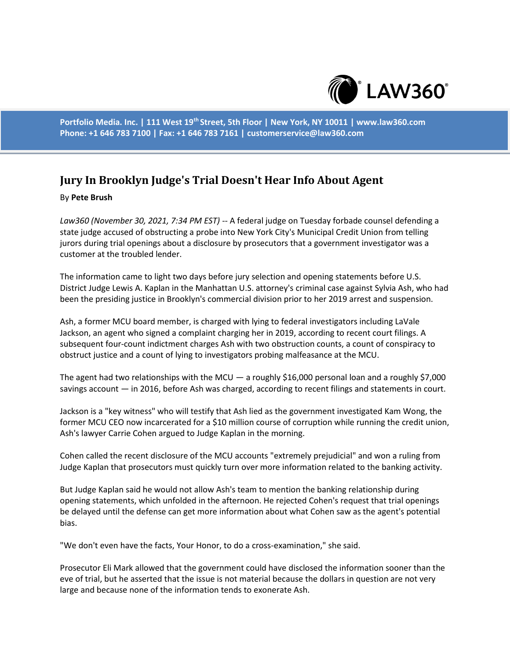

**Portfolio Media. Inc. | 111 West 19th Street, 5th Floor | New York, NY 10011 | www.law360.com Phone: +1 646 783 7100 | Fax: +1 646 783 7161 | customerservice@law360.com**

## **Jury In Brooklyn Judge's Trial Doesn't Hear Info About Agent**

## By **Pete Brush**

*Law360 (November 30, 2021, 7:34 PM EST)* -- A federal judge on Tuesday forbade counsel defending a state judge accused of obstructing a probe into New York City's Municipal Credit Union from telling jurors during trial openings about a disclosure by prosecutors that a government investigator was a customer at the troubled lender.

The information came to light two days before jury selection and opening statements before U.S. District Judge Lewis A. Kaplan in the Manhattan U.S. attorney's criminal case against Sylvia Ash, who had been the presiding justice in Brooklyn's commercial division prior to her 2019 arrest and suspension.

Ash, a former MCU board member, is charged with lying to federal investigators including LaVale Jackson, an agent who signed a complaint charging her in 2019, according to recent court filings. A subsequent four-count indictment charges Ash with two obstruction counts, a count of conspiracy to obstruct justice and a count of lying to investigators probing malfeasance at the MCU.

The agent had two relationships with the MCU  $-$  a roughly \$16,000 personal loan and a roughly \$7,000 savings account — in 2016, before Ash was charged, according to recent filings and statements in court.

Jackson is a "key witness" who will testify that Ash lied as the government investigated Kam Wong, the former MCU CEO now incarcerated for a \$10 million course of corruption while running the credit union, Ash's lawyer Carrie Cohen argued to Judge Kaplan in the morning.

Cohen called the recent disclosure of the MCU accounts "extremely prejudicial" and won a ruling from Judge Kaplan that prosecutors must quickly turn over more information related to the banking activity.

But Judge Kaplan said he would not allow Ash's team to mention the banking relationship during opening statements, which unfolded in the afternoon. He rejected Cohen's request that trial openings be delayed until the defense can get more information about what Cohen saw as the agent's potential bias.

"We don't even have the facts, Your Honor, to do a cross-examination," she said.

Prosecutor Eli Mark allowed that the government could have disclosed the information sooner than the eve of trial, but he asserted that the issue is not material because the dollars in question are not very large and because none of the information tends to exonerate Ash.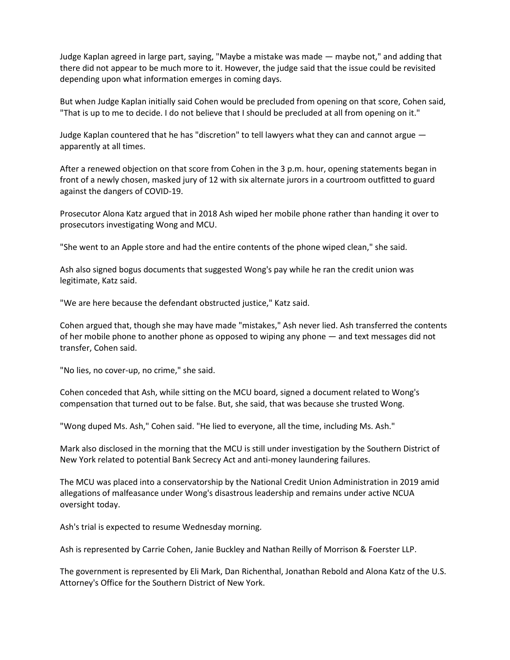Judge Kaplan agreed in large part, saying, "Maybe a mistake was made — maybe not," and adding that there did not appear to be much more to it. However, the judge said that the issue could be revisited depending upon what information emerges in coming days.

But when Judge Kaplan initially said Cohen would be precluded from opening on that score, Cohen said, "That is up to me to decide. I do not believe that I should be precluded at all from opening on it."

Judge Kaplan countered that he has "discretion" to tell lawyers what they can and cannot argue apparently at all times.

After a renewed objection on that score from Cohen in the 3 p.m. hour, opening statements began in front of a newly chosen, masked jury of 12 with six alternate jurors in a courtroom outfitted to guard against the dangers of COVID-19.

Prosecutor Alona Katz argued that in 2018 Ash wiped her mobile phone rather than handing it over to prosecutors investigating Wong and MCU.

"She went to an Apple store and had the entire contents of the phone wiped clean," she said.

Ash also signed bogus documents that suggested Wong's pay while he ran the credit union was legitimate, Katz said.

"We are here because the defendant obstructed justice," Katz said.

Cohen argued that, though she may have made "mistakes," Ash never lied. Ash transferred the contents of her mobile phone to another phone as opposed to wiping any phone — and text messages did not transfer, Cohen said.

"No lies, no cover-up, no crime," she said.

Cohen conceded that Ash, while sitting on the MCU board, signed a document related to Wong's compensation that turned out to be false. But, she said, that was because she trusted Wong.

"Wong duped Ms. Ash," Cohen said. "He lied to everyone, all the time, including Ms. Ash."

Mark also disclosed in the morning that the MCU is still under investigation by the Southern District of New York related to potential Bank Secrecy Act and anti-money laundering failures.

The MCU was placed into a conservatorship by the National Credit Union Administration in 2019 amid allegations of malfeasance under Wong's disastrous leadership and remains under active NCUA oversight today.

Ash's trial is expected to resume Wednesday morning.

Ash is represented by Carrie Cohen, Janie Buckley and Nathan Reilly of Morrison & Foerster LLP.

The government is represented by Eli Mark, Dan Richenthal, Jonathan Rebold and Alona Katz of the U.S. Attorney's Office for the Southern District of New York.